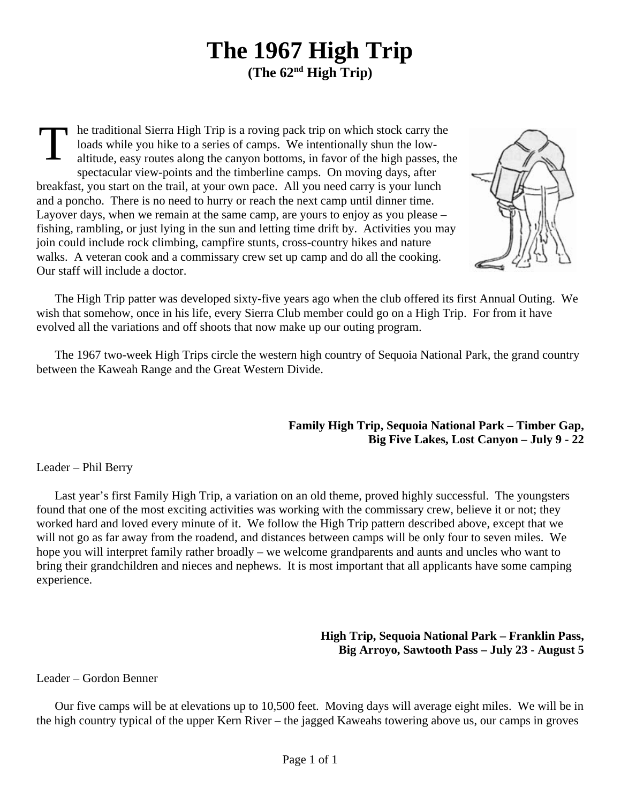## **The 1967 High Trip (The 62nd High Trip)**

T he traditional Sierra High Trip is a roving pack trip on which stock carry the loads while you hike to a series of camps. We intentionally shun the lowaltitude, easy routes along the canyon bottoms, in favor of the high passes, the spectacular view-points and the timberline camps. On moving days, after breakfast, you start on the trail, at your own pace. All you need carry is your lunch and a poncho. There is no need to hurry or reach the next camp until dinner time. Layover days, when we remain at the same camp, are yours to enjoy as you please – fishing, rambling, or just lying in the sun and letting time drift by. Activities you may join could include rock climbing, campfire stunts, cross-country hikes and nature walks. A veteran cook and a commissary crew set up camp and do all the cooking. Our staff will include a doctor.



The High Trip patter was developed sixty-five years ago when the club offered its first Annual Outing. We wish that somehow, once in his life, every Sierra Club member could go on a High Trip. For from it have evolved all the variations and off shoots that now make up our outing program.

The 1967 two-week High Trips circle the western high country of Sequoia National Park, the grand country between the Kaweah Range and the Great Western Divide.

## **Family High Trip, Sequoia National Park – Timber Gap, Big Five Lakes, Lost Canyon – July 9 - 22**

## Leader – Phil Berry

Last year's first Family High Trip, a variation on an old theme, proved highly successful. The youngsters found that one of the most exciting activities was working with the commissary crew, believe it or not; they worked hard and loved every minute of it. We follow the High Trip pattern described above, except that we will not go as far away from the roadend, and distances between camps will be only four to seven miles. We hope you will interpret family rather broadly – we welcome grandparents and aunts and uncles who want to bring their grandchildren and nieces and nephews. It is most important that all applicants have some camping experience.

## **High Trip, Sequoia National Park – Franklin Pass, Big Arroyo, Sawtooth Pass – July 23 - August 5**

Leader – Gordon Benner

Our five camps will be at elevations up to 10,500 feet. Moving days will average eight miles. We will be in the high country typical of the upper Kern River – the jagged Kaweahs towering above us, our camps in groves